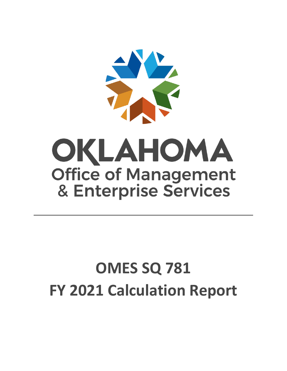

# **OMES SQ 781 FY 2021 Calculation Report**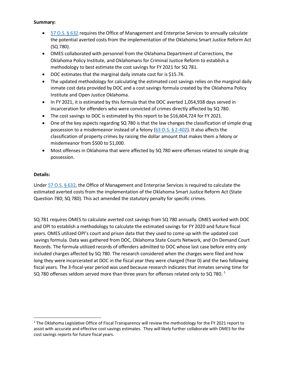#### **Summary:**

- [57 O.S. § 632](http://www.oscn.net/applications/oscn/DeliverDocument.asp?CiteID=479468) requires the Office of Management and Enterprise Services to annually calculate the potential averted costs from the implementation of the Oklahoma Smart Justice Reform Act (SQ 780).
- OMES collaborated with personnel from the Oklahoma Department of Corrections, the Oklahoma Policy Institute, and Oklahomans for Criminal Justice Reform to establish a methodology to best estimate the cost savings for FY 2021 for SQ 781.
- DOC estimates that the marginal daily inmate cost for is \$15.74.
- The updated methodology for calculating the estimated cost savings relies on the marginal daily inmate cost data provided by DOC and a cost savings formula created by the Oklahoma Policy Institute and Open Justice Oklahoma.
- In FY 2021, it is estimated by this formula that the DOC averted 1,054,938 days served in incarceration for offenders who were convicted of crimes directly affected by SQ 780.
- The cost savings to DOC is estimated by this report to be \$16,604,724 for FY 2021.
- One of the key aspects regarding SQ 780 is that the law changes the classification of simple drug possession to a misdemeanor instead of a felony  $(63 \text{ O.S. } § 2-402)$ . It also affects the classification of property crimes by raising the dollar amount that makes them a felony or misdemeanor from \$500 to \$1,000.
- Most offenses in Oklahoma that were affected by SQ 780 were offenses related to simple drug possession.

## **Details:**

l

Unde[r 57 O.S. § 632,](http://www.oscn.net/applications/oscn/DeliverDocument.asp?CiteID=479468) the Office of Management and Enterprise Services is required to calculate the estimated averted costs from the implementation of the Oklahoma Smart Justice Reform Act (State Question 780; SQ 780). This act amended the statutory penalty for specific crimes.

SQ 781 requires OMES to calculate averted cost savings from SQ 780 annually. OMES worked with DOC and OPI to establish a methodology to calculate the estimated savings for FY 2020 and future fiscal years. OMES utilized OPI's court and prison data that they used to come up with the updated cost savings formula. Data was gathered from DOC, Oklahoma State Courts Network, and On Demand Court Records. The formula utilized records of offenders admitted to DOC whose last case before entry *only* included charges affected by SQ 780. The research considered when the charges were filed and how long they were incarcerated at DOC in the fiscal year they were charged (Year 0) and the two following fiscal years. The 3-fiscal-year period was used because research indicates that inmates serving time for SQ 780 offenses seldom served more than three years for offenses related only to SQ 780.  $^{1}$ 

 $1$  The Oklahoma Legislative Office of Fiscal Transparency will review the methodology for the FY 2021 report to assist with accurate and effective cost savings estimates. They will likely further collaborate with OMES for the cost savings reports for future fiscal years.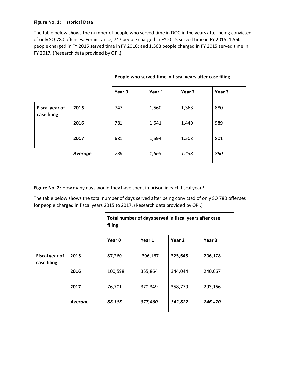#### **Figure No. 1:** Historical Data

The table below shows the number of people who served time in DOC in the years after being convicted of only SQ 780 offenses. For instance, 747 people charged in FY 2015 served time in FY 2015; 1,560 people charged in FY 2015 served time in FY 2016; and 1,368 people charged in FY 2015 served time in FY 2017. (Research data provided by OPI.)

|                                      |         | People who served time in fiscal years after case filing |        |        |        |
|--------------------------------------|---------|----------------------------------------------------------|--------|--------|--------|
|                                      |         | Year 0                                                   | Year 1 | Year 2 | Year 3 |
| <b>Fiscal year of</b><br>case filing | 2015    | 747                                                      | 1,560  | 1,368  | 880    |
|                                      | 2016    | 781                                                      | 1,541  | 1,440  | 989    |
|                                      | 2017    | 681                                                      | 1,594  | 1,508  | 801    |
|                                      | Average | 736                                                      | 1,565  | 1,438  | 890    |

**Figure No. 2:** How many days would they have spent in prison in each fiscal year?

The table below shows the total number of days served after being convicted of only SQ 780 offenses for people charged in fiscal years 2015 to 2017. (Research data provided by OPI.)

|                                      |         | Total number of days served in fiscal years after case<br>filing |         |         |         |
|--------------------------------------|---------|------------------------------------------------------------------|---------|---------|---------|
|                                      |         | Year 0                                                           | Year 1  | Year 2  | Year 3  |
| <b>Fiscal year of</b><br>case filing | 2015    | 87,260                                                           | 396,167 | 325,645 | 206,178 |
|                                      | 2016    | 100,598                                                          | 365,864 | 344,044 | 240,067 |
|                                      | 2017    | 76,701                                                           | 370,349 | 358,779 | 293,166 |
|                                      | Average | 88,186                                                           | 377,460 | 342,822 | 246,470 |